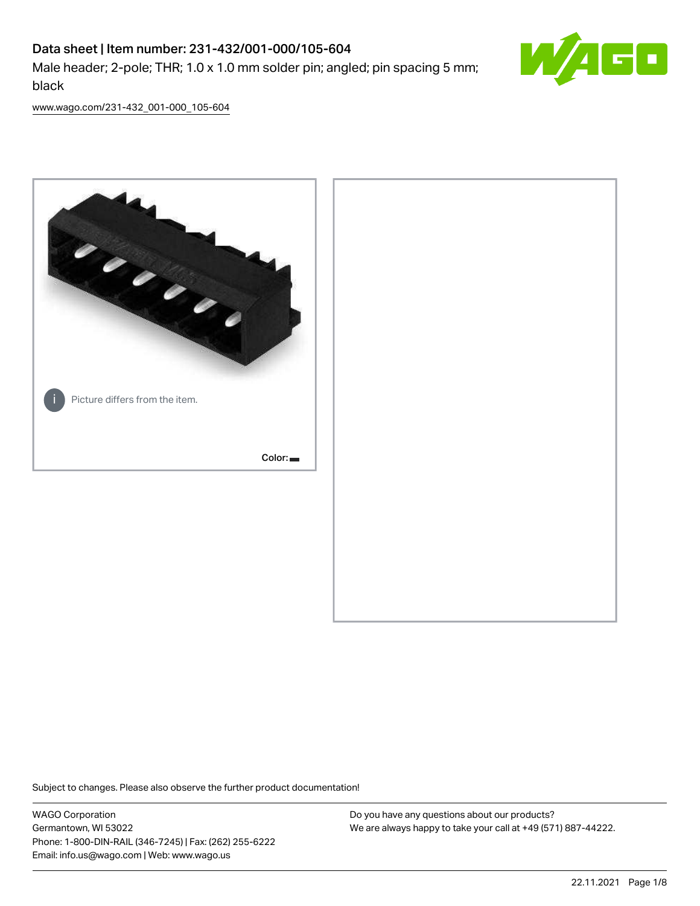# Data sheet | Item number: 231-432/001-000/105-604 Male header; 2-pole; THR; 1.0 x 1.0 mm solder pin; angled; pin spacing 5 mm; black



[www.wago.com/231-432\\_001-000\\_105-604](http://www.wago.com/231-432_001-000_105-604)



Subject to changes. Please also observe the further product documentation!

WAGO Corporation Germantown, WI 53022 Phone: 1-800-DIN-RAIL (346-7245) | Fax: (262) 255-6222 Email: info.us@wago.com | Web: www.wago.us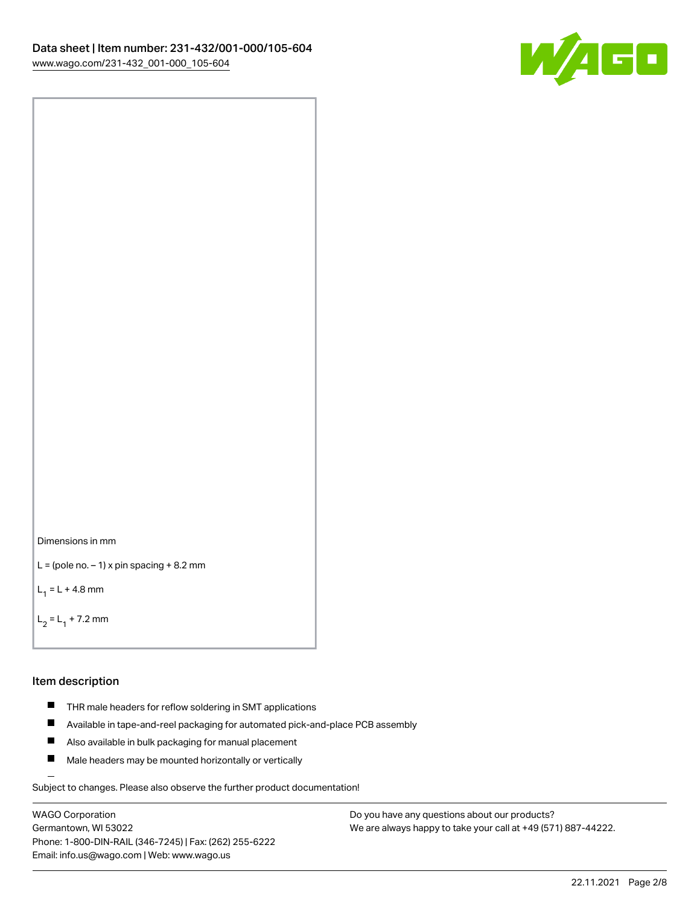

```
Dimensions in mm
```

```
L = (pole no. -1) x pin spacing +8.2 mm
```
 $L_1 = L + 4.8$  mm

```
L_2 = L_1 + 7.2 mm
```
#### Item description

- **THR** male headers for reflow soldering in SMT applications
- $\blacksquare$ Available in tape-and-reel packaging for automated pick-and-place PCB assembly
- $\blacksquare$ Also available in bulk packaging for manual placement
- $\blacksquare$ Male headers may be mounted horizontally or vertically

Subject to changes. Please also observe the further product documentation!

WAGO Corporation Germantown, WI 53022 Phone: 1-800-DIN-RAIL (346-7245) | Fax: (262) 255-6222 Email: info.us@wago.com | Web: www.wago.us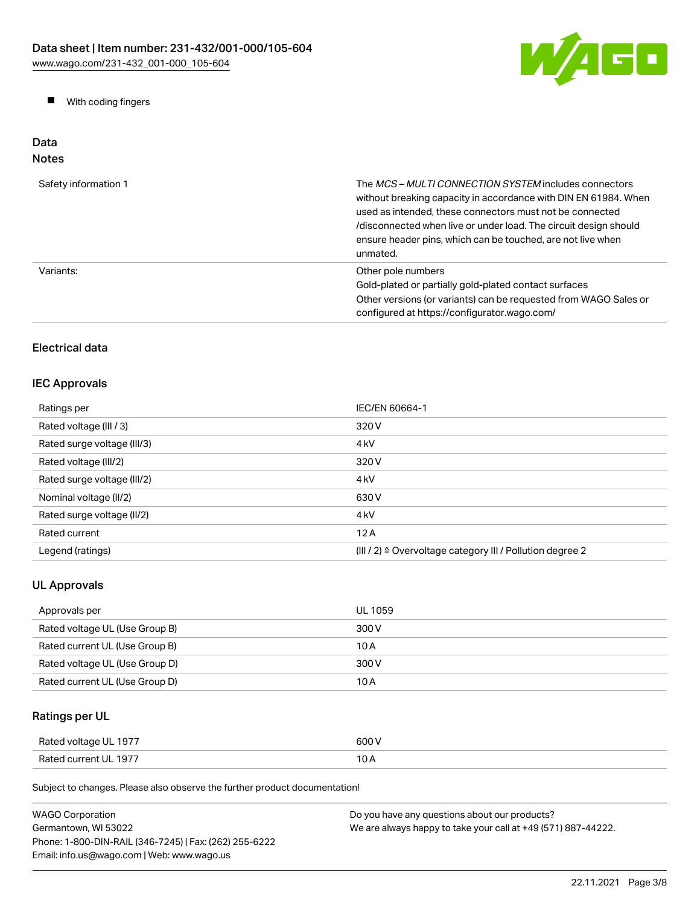

**Now With coding fingers** 

# Data Notes

| Safety information 1 | The <i>MCS - MULTI CONNECTION SYSTEM</i> includes connectors<br>without breaking capacity in accordance with DIN EN 61984. When<br>used as intended, these connectors must not be connected<br>/disconnected when live or under load. The circuit design should<br>ensure header pins, which can be touched, are not live when<br>unmated. |
|----------------------|--------------------------------------------------------------------------------------------------------------------------------------------------------------------------------------------------------------------------------------------------------------------------------------------------------------------------------------------|
| Variants:            | Other pole numbers<br>Gold-plated or partially gold-plated contact surfaces<br>Other versions (or variants) can be requested from WAGO Sales or<br>configured at https://configurator.wago.com/                                                                                                                                            |

# Electrical data

# IEC Approvals

| Ratings per                 | IEC/EN 60664-1                                            |
|-----------------------------|-----------------------------------------------------------|
| Rated voltage (III / 3)     | 320 V                                                     |
| Rated surge voltage (III/3) | 4 <sub>kV</sub>                                           |
| Rated voltage (III/2)       | 320 V                                                     |
| Rated surge voltage (III/2) | 4 <sub>kV</sub>                                           |
| Nominal voltage (II/2)      | 630 V                                                     |
| Rated surge voltage (II/2)  | 4 <sub>k</sub> V                                          |
| Rated current               | 12A                                                       |
| Legend (ratings)            | (III / 2) ≙ Overvoltage category III / Pollution degree 2 |

# UL Approvals

| Approvals per                  | UL 1059 |
|--------------------------------|---------|
| Rated voltage UL (Use Group B) | 300 V   |
| Rated current UL (Use Group B) | 10 A    |
| Rated voltage UL (Use Group D) | 300 V   |
| Rated current UL (Use Group D) | 10 A    |

# Ratings per UL

| Rated voltage UL 1977 | 600 V |
|-----------------------|-------|
| Rated current UL 1977 | 10 A  |

Subject to changes. Please also observe the further product documentation!

| <b>WAGO Corporation</b>                                | Do you have any questions about our products?                 |
|--------------------------------------------------------|---------------------------------------------------------------|
| Germantown, WI 53022                                   | We are always happy to take your call at +49 (571) 887-44222. |
| Phone: 1-800-DIN-RAIL (346-7245)   Fax: (262) 255-6222 |                                                               |
| Email: info.us@wago.com   Web: www.wago.us             |                                                               |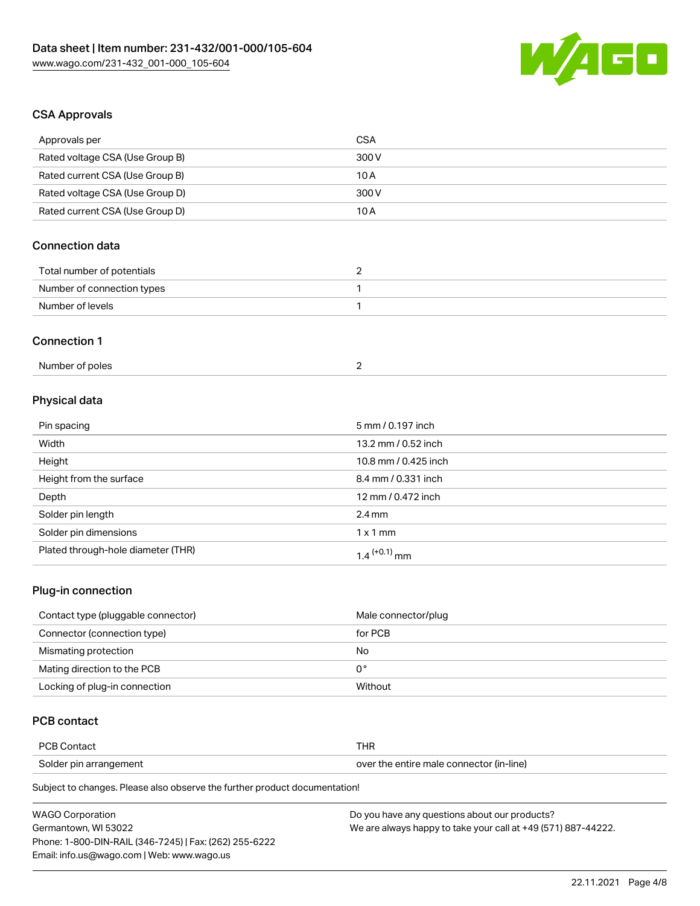

# CSA Approvals

| Approvals per                          | <b>CSA</b>           |
|----------------------------------------|----------------------|
| Rated voltage CSA (Use Group B)        | 300V                 |
| Rated current CSA (Use Group B)        | 10A                  |
| Rated voltage CSA (Use Group D)        | 300 V                |
| Rated current CSA (Use Group D)        | 10A                  |
| <b>Connection data</b>                 |                      |
| Total number of potentials             | $\overline{2}$       |
| Number of connection types             | 1                    |
| Number of levels                       | 1                    |
| <b>Connection 1</b><br>Number of poles | $\overline{2}$       |
|                                        |                      |
| Physical data                          |                      |
| Pin spacing                            | 5 mm / 0.197 inch    |
| Width                                  | 13.2 mm / 0.52 inch  |
| Height                                 | 10.8 mm / 0.425 inch |
| Height from the surface                | 8.4 mm / 0.331 inch  |
| Depth                                  | 12 mm / 0.472 inch   |
| Solder pin length                      | $2.4 \text{ mm}$     |
| Solder pin dimensions                  | $1 \times 1$ mm      |
| Plated through-hole diameter (THR)     | $1.4$ $(+0.1)$ mm    |

# Plug-in connection

| Contact type (pluggable connector) | Male connector/plug |
|------------------------------------|---------------------|
| Connector (connection type)        | for PCB             |
| Mismating protection               | No                  |
| Mating direction to the PCB        | 0°                  |
| Locking of plug-in connection      | Without             |

# PCB contact

| <b>PCB Contact</b>     | THR                                      |
|------------------------|------------------------------------------|
| Solder pin arrangement | over the entire male connector (in-line) |

Subject to changes. Please also observe the further product documentation!

| <b>WAGO Corporation</b>                                | Do you have any questions about our products?                 |
|--------------------------------------------------------|---------------------------------------------------------------|
| Germantown. WI 53022                                   | We are always happy to take your call at +49 (571) 887-44222. |
| Phone: 1-800-DIN-RAIL (346-7245)   Fax: (262) 255-6222 |                                                               |
| Email: info.us@wago.com   Web: www.wago.us             |                                                               |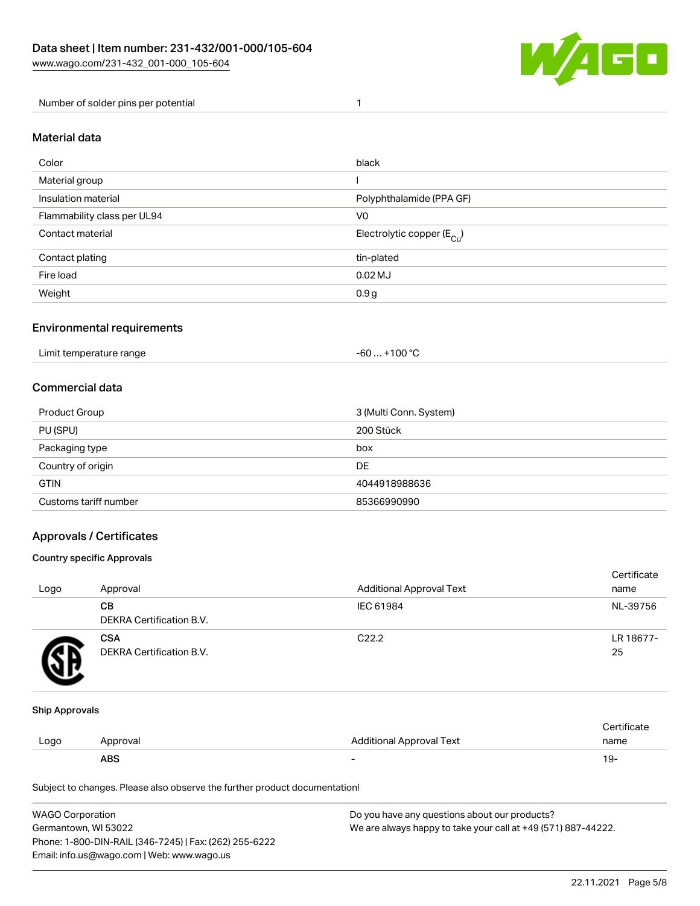

Number of solder pins per potential 1

### Material data

| Color                       | black                                  |
|-----------------------------|----------------------------------------|
| Material group              |                                        |
| Insulation material         | Polyphthalamide (PPA GF)               |
| Flammability class per UL94 | V <sub>0</sub>                         |
| Contact material            | Electrolytic copper (E <sub>Cu</sub> ) |
| Contact plating             | tin-plated                             |
| Fire load                   | $0.02$ MJ                              |
| Weight                      | 0.9g                                   |

## Environmental requirements

Limit temperature range  $-60... +100 °C$ 

#### Commercial data

| Product Group         | 3 (Multi Conn. System) |
|-----------------------|------------------------|
| PU (SPU)              | 200 Stück              |
| Packaging type        | box                    |
| Country of origin     | DE                     |
| <b>GTIN</b>           | 4044918988636          |
| Customs tariff number | 85366990990            |

## Approvals / Certificates

#### Country specific Approvals

| Logo | Approval                               | <b>Additional Approval Text</b> | Certificate<br>name |
|------|----------------------------------------|---------------------------------|---------------------|
|      | CВ<br>DEKRA Certification B.V.         | IEC 61984                       | NL-39756            |
|      | <b>CSA</b><br>DEKRA Certification B.V. | C <sub>22.2</sub>               | LR 18677-<br>25     |

#### Ship Approvals

|      | ABS      |                          | ، ש∙        |
|------|----------|--------------------------|-------------|
| Logo | Approval | Additional Approval Text | name        |
|      |          |                          | ∵ertifica⊾e |

Subject to changes. Please also observe the further product documentation!

| <b>WAGO Corporation</b>                                | Do you have any questions about our products?                 |  |  |
|--------------------------------------------------------|---------------------------------------------------------------|--|--|
| Germantown, WI 53022                                   | We are always happy to take your call at +49 (571) 887-44222. |  |  |
| Phone: 1-800-DIN-RAIL (346-7245)   Fax: (262) 255-6222 |                                                               |  |  |
| Email: info.us@wago.com   Web: www.wago.us             |                                                               |  |  |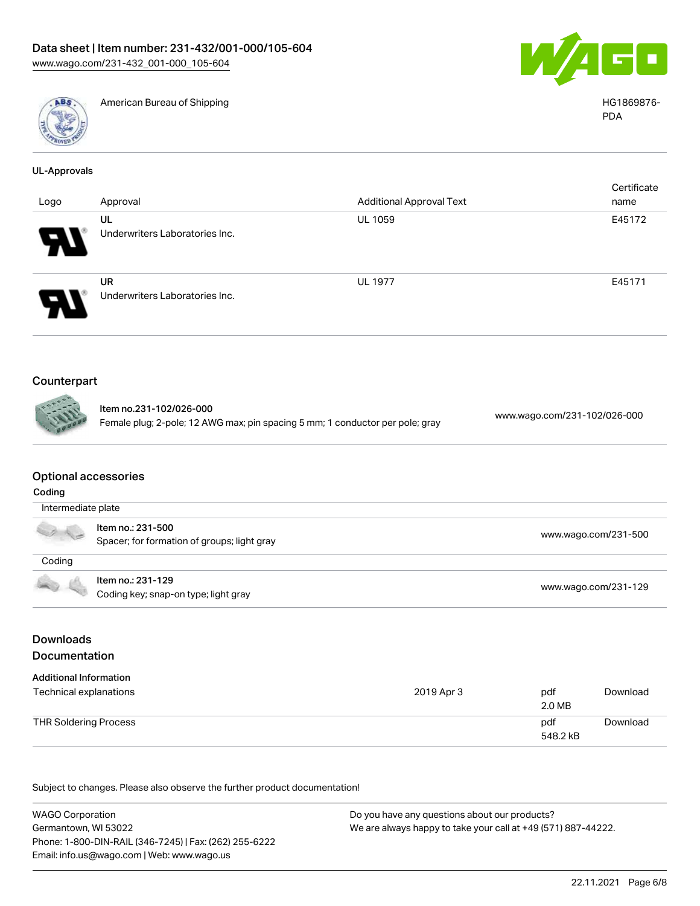



American Bureau of Shipping National American Bureau of Shipping HG1869876-

|  |  |  | UL-Approvals |  |
|--|--|--|--------------|--|
|  |  |  |              |  |

| Logo                       | Approval                                    | <b>Additional Approval Text</b> | Certificate<br>name |
|----------------------------|---------------------------------------------|---------------------------------|---------------------|
| $\boldsymbol{\theta}$      | UL<br>Underwriters Laboratories Inc.        | <b>UL 1059</b>                  | E45172              |
| $\boldsymbol{\mathcal{A}}$ | <b>UR</b><br>Underwriters Laboratories Inc. | <b>UL 1977</b>                  | E45171              |

# Counterpart

Item no.231-102/026-000 Female plug; 2-pole; 12 AWG max; pin spacing 5 mm; 1 conductor per pole; gray [www.wago.com/231-102/026-000](https://www.wago.com/231-102/026-000)

#### Optional accessories

| Coding               |                                                                  |                      |  |  |
|----------------------|------------------------------------------------------------------|----------------------|--|--|
| Intermediate plate   |                                                                  |                      |  |  |
| $\frac{1}{\sqrt{2}}$ | Item no.: 231-500<br>Spacer; for formation of groups; light gray | www.wago.com/231-500 |  |  |
| Coding               |                                                                  |                      |  |  |
| 40 6                 | Item no.: 231-129<br>Coding key; snap-on type; light gray        | www.wago.com/231-129 |  |  |

# Downloads Documentation

| <b>Additional Information</b> |            |                 |          |
|-------------------------------|------------|-----------------|----------|
| Technical explanations        | 2019 Apr 3 | pdf<br>2.0 MB   | Download |
| THR Soldering Process         |            | pdf<br>548.2 kB | Download |

Subject to changes. Please also observe the further product documentation!

WAGO Corporation Germantown, WI 53022 Phone: 1-800-DIN-RAIL (346-7245) | Fax: (262) 255-6222 Email: info.us@wago.com | Web: www.wago.us Do you have any questions about our products? We are always happy to take your call at +49 (571) 887-44222.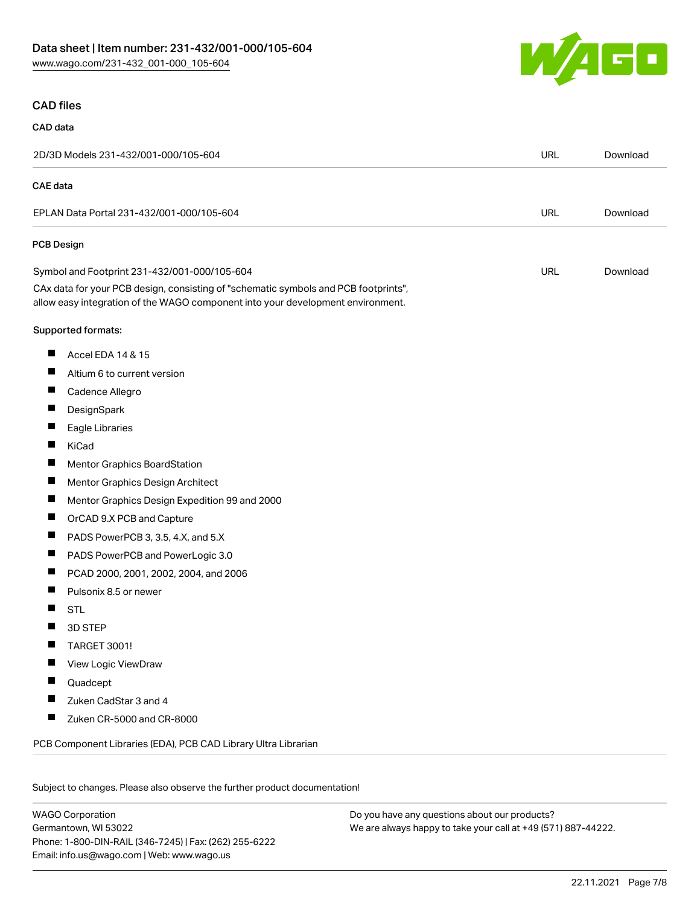

### CAD files

#### CAD data

| 2D/3D Models 231-432/001-000/105-604                                                                                                                                   |            | Download |  |
|------------------------------------------------------------------------------------------------------------------------------------------------------------------------|------------|----------|--|
| <b>CAE</b> data                                                                                                                                                        |            |          |  |
| EPLAN Data Portal 231-432/001-000/105-604                                                                                                                              |            | Download |  |
| PCB Design                                                                                                                                                             |            |          |  |
| Symbol and Footprint 231-432/001-000/105-604                                                                                                                           | <b>URL</b> | Download |  |
| CAx data for your PCB design, consisting of "schematic symbols and PCB footprints",<br>allow easy integration of the WAGO component into your development environment. |            |          |  |
| Supported formats:                                                                                                                                                     |            |          |  |
| ш<br>Accel EDA 14 & 15                                                                                                                                                 |            |          |  |
| ш<br>Altium 6 to current version                                                                                                                                       |            |          |  |
| ш<br>Cadence Allegro                                                                                                                                                   |            |          |  |
| DesignSpark                                                                                                                                                            |            |          |  |
| Ш<br>Eagle Libraries                                                                                                                                                   |            |          |  |
| ш<br>KiCad                                                                                                                                                             |            |          |  |
| ш<br>Mentor Graphics BoardStation                                                                                                                                      |            |          |  |
| ш<br>Mentor Graphics Design Architect                                                                                                                                  |            |          |  |
| ш<br>Mentor Graphics Design Expedition 99 and 2000                                                                                                                     |            |          |  |
| Ш<br>OrCAD 9.X PCB and Capture                                                                                                                                         |            |          |  |
| PADS PowerPCB 3, 3.5, 4.X, and 5.X<br>ш                                                                                                                                |            |          |  |
| ш<br>PADS PowerPCB and PowerLogic 3.0                                                                                                                                  |            |          |  |
| ш<br>PCAD 2000, 2001, 2002, 2004, and 2006                                                                                                                             |            |          |  |
| Pulsonix 8.5 or newer<br>ш                                                                                                                                             |            |          |  |
| ш<br><b>STL</b>                                                                                                                                                        |            |          |  |
| 3D STEP                                                                                                                                                                |            |          |  |
| ш<br>TARGET 3001!                                                                                                                                                      |            |          |  |
| View Logic ViewDraw                                                                                                                                                    |            |          |  |
| Quadcept                                                                                                                                                               |            |          |  |
| Zuken CadStar 3 and 4                                                                                                                                                  |            |          |  |
| Zuken CR-5000 and CR-8000                                                                                                                                              |            |          |  |
| PCB Component Libraries (EDA), PCB CAD Library Ultra Librarian                                                                                                         |            |          |  |
|                                                                                                                                                                        |            |          |  |

Subject to changes. Please also observe the further product documentation!

WAGO Corporation Germantown, WI 53022 Phone: 1-800-DIN-RAIL (346-7245) | Fax: (262) 255-6222 Email: info.us@wago.com | Web: www.wago.us